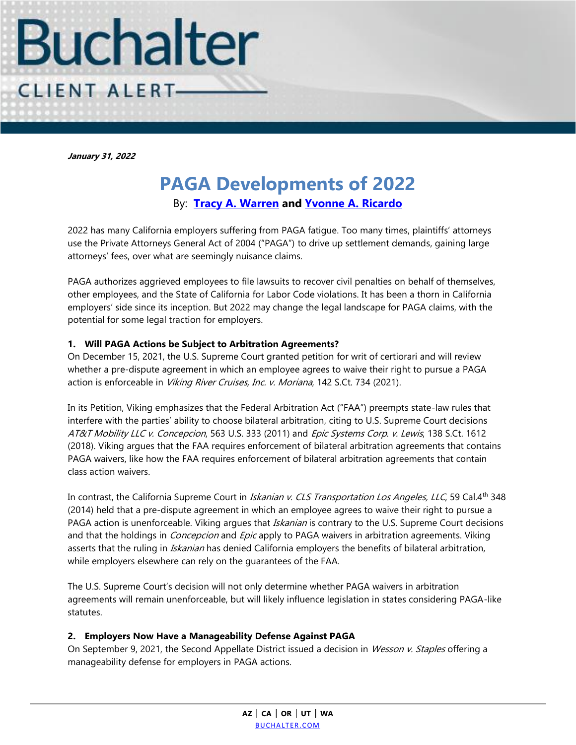

**January 31, 2022**

# **PAGA Developments of 2022** By: **[Tracy A. Warren](https://www.buchalter.com/attorneys/tracy-a-warren/#bio) and [Yvonne A. Ricardo](https://www.buchalter.com/attorneys/yvonne-a-ricardo/#bio)**

2022 has many California employers suffering from PAGA fatigue. Too many times, plaintiffs' attorneys use the Private Attorneys General Act of 2004 ("PAGA") to drive up settlement demands, gaining large attorneys' fees, over what are seemingly nuisance claims.

PAGA authorizes aggrieved employees to file lawsuits to recover civil penalties on behalf of themselves, other employees, and the State of California for Labor Code violations. It has been a thorn in California employers' side since its inception. But 2022 may change the legal landscape for PAGA claims, with the potential for some legal traction for employers.

## **1. Will PAGA Actions be Subject to Arbitration Agreements?**

On December 15, 2021, the U.S. Supreme Court granted petition for writ of certiorari and will review whether a pre-dispute agreement in which an employee agrees to waive their right to pursue a PAGA action is enforceable in Viking River Cruises, Inc. v. Moriana, 142 S.Ct. 734 (2021).

In its Petition, Viking emphasizes that the Federal Arbitration Act ("FAA") preempts state-law rules that interfere with the parties' ability to choose bilateral arbitration, citing to U.S. Supreme Court decisions AT&T Mobility LLC v. Concepcion, 563 U.S. 333 (2011) and Epic Systems Corp. v. Lewis, 138 S.Ct. 1612 (2018). Viking argues that the FAA requires enforcement of bilateral arbitration agreements that contains PAGA waivers, like how the FAA requires enforcement of bilateral arbitration agreements that contain class action waivers.

In contrast, the California Supreme Court in Iskanian v. CLS Transportation Los Angeles, LLC, 59 Cal.4th 348 (2014) held that a pre-dispute agreement in which an employee agrees to waive their right to pursue a PAGA action is unenforceable. Viking argues that *Iskanian* is contrary to the U.S. Supreme Court decisions and that the holdings in *Concepcion* and *Epic* apply to PAGA waivers in arbitration agreements. Viking asserts that the ruling in *Iskanian* has denied California employers the benefits of bilateral arbitration, while employers elsewhere can rely on the guarantees of the FAA.

The U.S. Supreme Court's decision will not only determine whether PAGA waivers in arbitration agreements will remain unenforceable, but will likely influence legislation in states considering PAGA-like statutes.

## **2. Employers Now Have a Manageability Defense Against PAGA**

On September 9, 2021, the Second Appellate District issued a decision in Wesson v. Staples offering a manageability defense for employers in PAGA actions.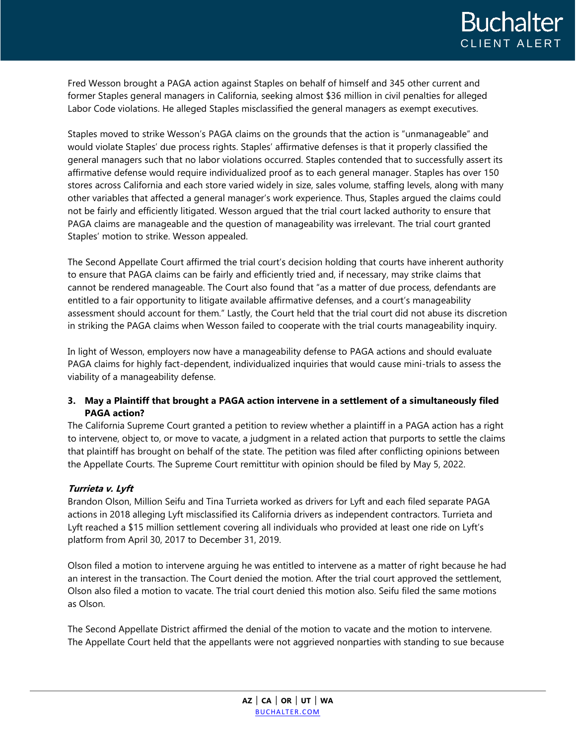Fred Wesson brought a PAGA action against Staples on behalf of himself and 345 other current and former Staples general managers in California, seeking almost \$36 million in civil penalties for alleged Labor Code violations. He alleged Staples misclassified the general managers as exempt executives.

Staples moved to strike Wesson's PAGA claims on the grounds that the action is "unmanageable" and would violate Staples' due process rights. Staples' affirmative defenses is that it properly classified the general managers such that no labor violations occurred. Staples contended that to successfully assert its affirmative defense would require individualized proof as to each general manager. Staples has over 150 stores across California and each store varied widely in size, sales volume, staffing levels, along with many other variables that affected a general manager's work experience. Thus, Staples argued the claims could not be fairly and efficiently litigated. Wesson argued that the trial court lacked authority to ensure that PAGA claims are manageable and the question of manageability was irrelevant. The trial court granted Staples' motion to strike. Wesson appealed.

The Second Appellate Court affirmed the trial court's decision holding that courts have inherent authority to ensure that PAGA claims can be fairly and efficiently tried and, if necessary, may strike claims that cannot be rendered manageable. The Court also found that "as a matter of due process, defendants are entitled to a fair opportunity to litigate available affirmative defenses, and a court's manageability assessment should account for them." Lastly, the Court held that the trial court did not abuse its discretion in striking the PAGA claims when Wesson failed to cooperate with the trial courts manageability inquiry.

In light of Wesson, employers now have a manageability defense to PAGA actions and should evaluate PAGA claims for highly fact-dependent, individualized inquiries that would cause mini-trials to assess the viability of a manageability defense.

# **3. May a Plaintiff that brought a PAGA action intervene in a settlement of a simultaneously filed PAGA action?**

The California Supreme Court granted a petition to review whether a plaintiff in a PAGA action has a right to intervene, object to, or move to vacate, a judgment in a related action that purports to settle the claims that plaintiff has brought on behalf of the state. The petition was filed after conflicting opinions between the Appellate Courts. The Supreme Court remittitur with opinion should be filed by May 5, 2022.

# **Turrieta v. Lyft**

Brandon Olson, Million Seifu and Tina Turrieta worked as drivers for Lyft and each filed separate PAGA actions in 2018 alleging Lyft misclassified its California drivers as independent contractors. Turrieta and Lyft reached a \$15 million settlement covering all individuals who provided at least one ride on Lyft's platform from April 30, 2017 to December 31, 2019.

Olson filed a motion to intervene arguing he was entitled to intervene as a matter of right because he had an interest in the transaction. The Court denied the motion. After the trial court approved the settlement, Olson also filed a motion to vacate. The trial court denied this motion also. Seifu filed the same motions as Olson.

The Second Appellate District affirmed the denial of the motion to vacate and the motion to intervene. The Appellate Court held that the appellants were not aggrieved nonparties with standing to sue because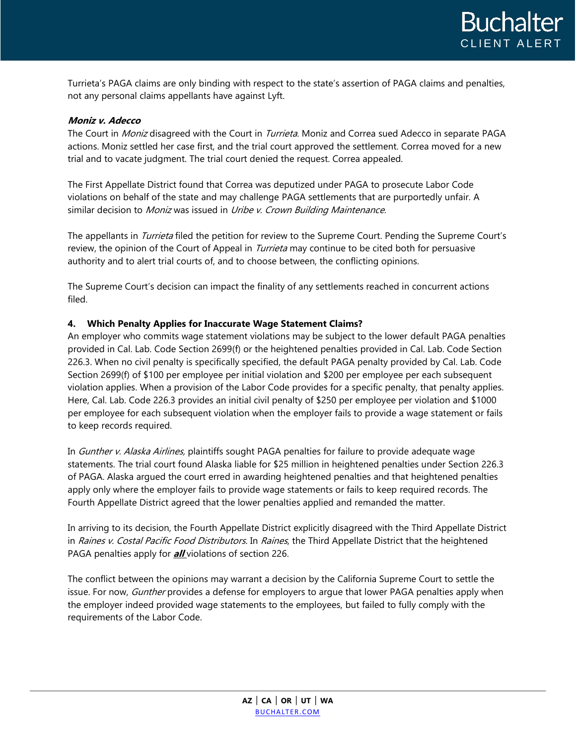Turrieta's PAGA claims are only binding with respect to the state's assertion of PAGA claims and penalties, not any personal claims appellants have against Lyft.

## **Moniz v. Adecco**

The Court in Moniz disagreed with the Court in Turrieta. Moniz and Correa sued Adecco in separate PAGA actions. Moniz settled her case first, and the trial court approved the settlement. Correa moved for a new trial and to vacate judgment. The trial court denied the request. Correa appealed.

The First Appellate District found that Correa was deputized under PAGA to prosecute Labor Code violations on behalf of the state and may challenge PAGA settlements that are purportedly unfair. A similar decision to Moniz was issued in Uribe v. Crown Building Maintenance.

The appellants in *Turrieta* filed the petition for review to the Supreme Court. Pending the Supreme Court's review, the opinion of the Court of Appeal in *Turrieta* may continue to be cited both for persuasive authority and to alert trial courts of, and to choose between, the conflicting opinions.

The Supreme Court's decision can impact the finality of any settlements reached in concurrent actions filed.

## **4. Which Penalty Applies for Inaccurate Wage Statement Claims?**

An employer who commits wage statement violations may be subject to the lower default PAGA penalties provided in Cal. Lab. Code Section 2699(f) or the heightened penalties provided in Cal. Lab. Code Section 226.3. When no civil penalty is specifically specified, the default PAGA penalty provided by Cal. Lab. Code Section 2699(f) of \$100 per employee per initial violation and \$200 per employee per each subsequent violation applies. When a provision of the Labor Code provides for a specific penalty, that penalty applies. Here, Cal. Lab. Code 226.3 provides an initial civil penalty of \$250 per employee per violation and \$1000 per employee for each subsequent violation when the employer fails to provide a wage statement or fails to keep records required.

In *Gunther v. Alaska Airlines*, plaintiffs sought PAGA penalties for failure to provide adequate wage statements. The trial court found Alaska liable for \$25 million in heightened penalties under Section 226.3 of PAGA. Alaska argued the court erred in awarding heightened penalties and that heightened penalties apply only where the employer fails to provide wage statements or fails to keep required records. The Fourth Appellate District agreed that the lower penalties applied and remanded the matter.

In arriving to its decision, the Fourth Appellate District explicitly disagreed with the Third Appellate District in Raines v. Costal Pacific Food Distributors. In Raines, the Third Appellate District that the heightened PAGA penalties apply for **all** violations of section 226.

The conflict between the opinions may warrant a decision by the California Supreme Court to settle the issue. For now, Gunther provides a defense for employers to arque that lower PAGA penalties apply when the employer indeed provided wage statements to the employees, but failed to fully comply with the requirements of the Labor Code.